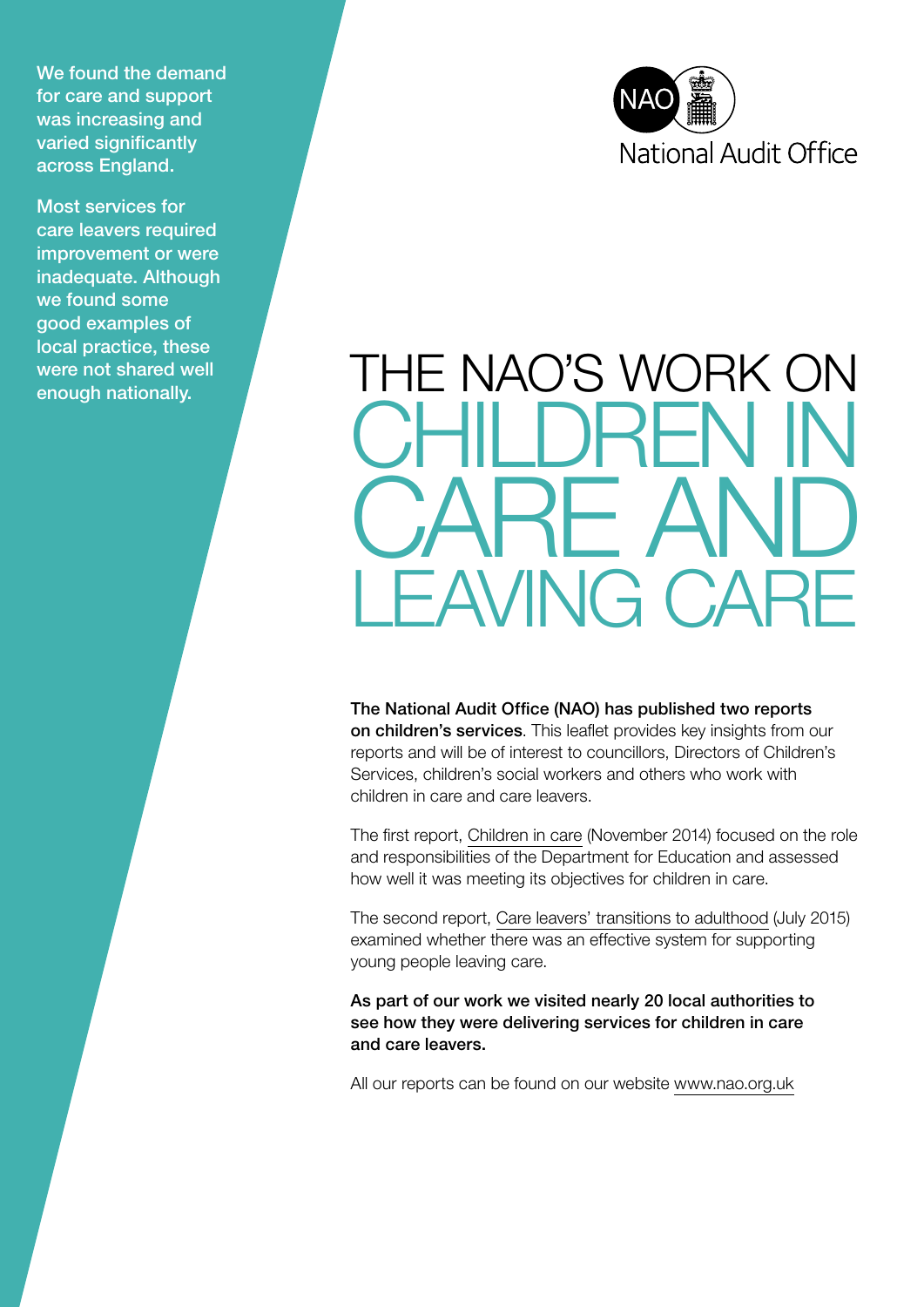We found the demand for care and support was increasing and varied significantly across England.

Most services for care leavers required improvement or were inadequate. Although we found some good examples of local practice, these were not shared well enough nationally.



# THE NAO'S WORK ON I IRE RE A *EAVING CARE*

The National Audit Office (NAO) has published two reports on children's services. This leaflet provides key insights from our reports and will be of interest to councillors, Directors of Children's Services, children's social workers and others who work with children in care and care leavers.

The first report, [Children in care](https://www.nao.org.uk/report/children-in-care/) (November 2014) focused on the role and responsibilities of the Department for Education and assessed how well it was meeting its objectives for children in care.

The second report, [Care leavers' transitions to adulthood](https://www.nao.org.uk/report/care-leavers-transitions-to-adulthood/) (July 2015) examined whether there was an effective system for supporting young people leaving care.

As part of our work we visited nearly 20 local authorities to see how they were delivering services for children in care and care leavers.

All our reports can be found on our website [www.nao.org.uk](https://www.nao.org.uk/)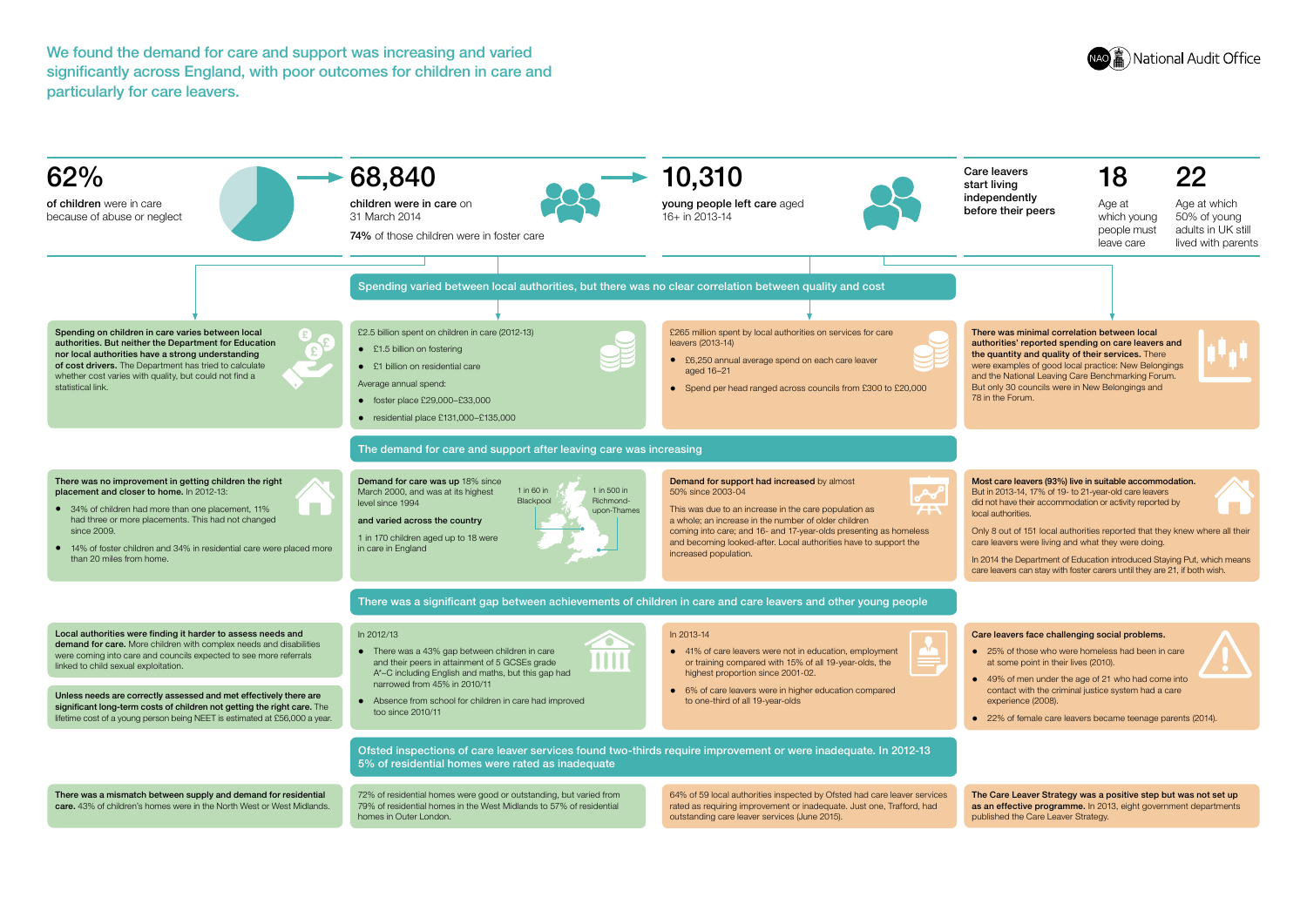We found the demand for care and support was increasing and varied significantly across England, with poor outcomes for children in care and particularly for care leavers.